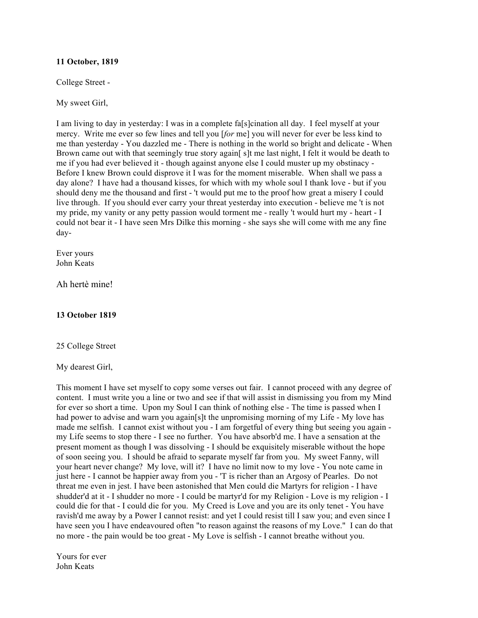#### **11 October, 1819**

College Street -

My sweet Girl,

I am living to day in yesterday: I was in a complete fa[s]cination all day. I feel myself at your mercy. Write me ever so few lines and tell you [*for* me] you will never for ever be less kind to me than yesterday - You dazzled me - There is nothing in the world so bright and delicate - When Brown came out with that seemingly true story again[ s]t me last night, I felt it would be death to me if you had ever believed it - though against anyone else I could muster up my obstinacy - Before I knew Brown could disprove it I was for the moment miserable. When shall we pass a day alone? I have had a thousand kisses, for which with my whole soul I thank love - but if you should deny me the thousand and first - 't would put me to the proof how great a misery I could live through. If you should ever carry your threat yesterday into execution - believe me 't is not my pride, my vanity or any petty passion would torment me - really 't would hurt my - heart - I could not bear it - I have seen Mrs Dilke this morning - she says she will come with me any fine day-

Ever yours John Keats

Ah hertè mine!

#### **13 October 1819**

25 College Street

My dearest Girl,

This moment I have set myself to copy some verses out fair. I cannot proceed with any degree of content. I must write you a line or two and see if that will assist in dismissing you from my Mind for ever so short a time. Upon my Soul I can think of nothing else - The time is passed when I had power to advise and warn you again[s]t the unpromising morning of my Life - My love has made me selfish. I cannot exist without you - I am forgetful of every thing but seeing you again my Life seems to stop there - I see no further. You have absorb'd me. I have a sensation at the present moment as though I was dissolving - I should be exquisitely miserable without the hope of soon seeing you. I should be afraid to separate myself far from you. My sweet Fanny, will your heart never change? My love, will it? I have no limit now to my love - You note came in just here - I cannot be happier away from you - 'T is richer than an Argosy of Pearles. Do not threat me even in jest. I have been astonished that Men could die Martyrs for religion - I have shudder'd at it - I shudder no more - I could be martyr'd for my Religion - Love is my religion - I could die for that - I could die for you. My Creed is Love and you are its only tenet - You have ravish'd me away by a Power I cannot resist: and yet I could resist till I saw you; and even since I have seen you I have endeavoured often "to reason against the reasons of my Love." I can do that no more - the pain would be too great - My Love is selfish - I cannot breathe without you.

Yours for ever John Keats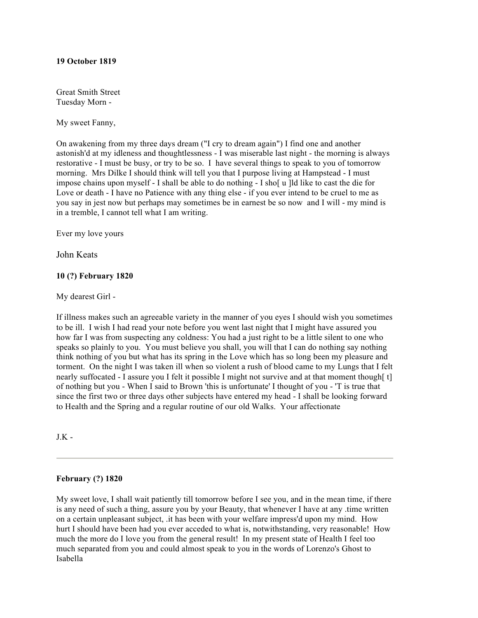#### **19 October 1819**

Great Smith Street Tuesday Morn -

My sweet Fanny,

On awakening from my three days dream ("I cry to dream again") I find one and another astonish'd at my idleness and thoughtlessness - I was miserable last night - the morning is always restorative - I must be busy, or try to be so. I have several things to speak to you of tomorrow morning. Mrs Dilke I should think will tell you that I purpose living at Hampstead - I must impose chains upon myself - I shall be able to do nothing - I sho[ u ]ld like to cast the die for Love or death - I have no Patience with any thing else - if you ever intend to be cruel to me as you say in jest now but perhaps may sometimes be in earnest be so now and I will - my mind is in a tremble, I cannot tell what I am writing.

Ever my love yours

John Keats

## **10 (?) February 1820**

My dearest Girl -

If illness makes such an agreeable variety in the manner of you eyes I should wish you sometimes to be ill. I wish I had read your note before you went last night that I might have assured you how far I was from suspecting any coldness: You had a just right to be a little silent to one who speaks so plainly to you. You must believe you shall, you will that I can do nothing say nothing think nothing of you but what has its spring in the Love which has so long been my pleasure and torment. On the night I was taken ill when so violent a rush of blood came to my Lungs that I felt nearly suffocated - I assure you I felt it possible I might not survive and at that moment though [t] of nothing but you - When I said to Brown 'this is unfortunate' I thought of you - 'T is true that since the first two or three days other subjects have entered my head - I shall be looking forward to Health and the Spring and a regular routine of our old Walks. Your affectionate

 $J.K -$ 

#### **February (?) 1820**

My sweet love, I shall wait patiently till tomorrow before I see you, and in the mean time, if there is any need of such a thing, assure you by your Beauty, that whenever I have at any .time written on a certain unpleasant subject, .it has been with your welfare impress'd upon my mind. How hurt I should have been had you ever acceded to what is, notwithstanding, very reasonable! How much the more do I love you from the general result! In my present state of Health I feel too much separated from you and could almost speak to you in the words of Lorenzo's Ghost to Isabella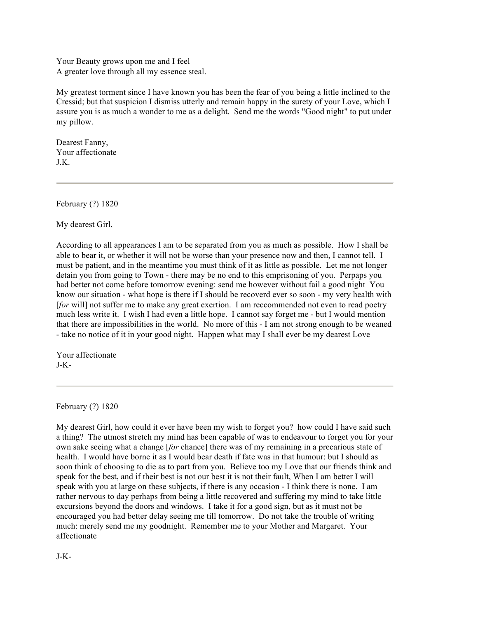Your Beauty grows upon me and I feel A greater love through all my essence steal.

My greatest torment since I have known you has been the fear of you being a little inclined to the Cressid; but that suspicion I dismiss utterly and remain happy in the surety of your Love, which I assure you is as much a wonder to me as a delight. Send me the words "Good night" to put under my pillow.

Dearest Fanny, Your affectionate J.K.

February (?) 1820

My dearest Girl,

According to all appearances I am to be separated from you as much as possible. How I shall be able to bear it, or whether it will not be worse than your presence now and then, I cannot tell. I must be patient, and in the meantime you must think of it as little as possible. Let me not longer detain you from going to Town - there may be no end to this emprisoning of you. Perpaps you had better not come before tomorrow evening: send me however without fail a good night You know our situation - what hope is there if I should be recoverd ever so soon - my very health with [*for* will] not suffer me to make any great exertion. I am reccommended not even to read poetry much less write it. I wish I had even a little hope. I cannot say forget me - but I would mention that there are impossibilities in the world. No more of this - I am not strong enough to be weaned - take no notice of it in your good night. Happen what may I shall ever be my dearest Love

Your affectionate J-K-

February (?) 1820

My dearest Girl, how could it ever have been my wish to forget you? how could I have said such a thing? The utmost stretch my mind has been capable of was to endeavour to forget you for your own sake seeing what a change [*for* chance] there was of my remaining in a precarious state of health. I would have borne it as I would bear death if fate was in that humour: but I should as soon think of choosing to die as to part from you. Believe too my Love that our friends think and speak for the best, and if their best is not our best it is not their fault, When I am better I will speak with you at large on these subjects, if there is any occasion - I think there is none. I am rather nervous to day perhaps from being a little recovered and suffering my mind to take little excursions beyond the doors and windows. I take it for a good sign, but as it must not be encouraged you had better delay seeing me till tomorrow. Do not take the trouble of writing much: merely send me my goodnight. Remember me to your Mother and Margaret. Your affectionate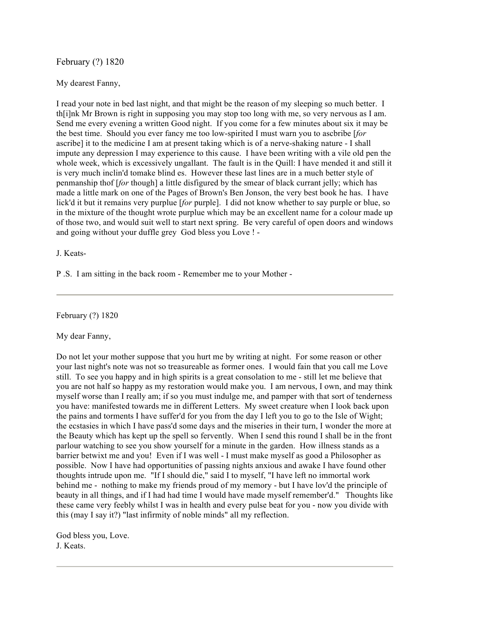# February (?) 1820

#### My dearest Fanny,

I read your note in bed last night, and that might be the reason of my sleeping so much better. I th[i]nk Mr Brown is right in supposing you may stop too long with me, so very nervous as I am. Send me every evening a written Good night. If you come for a few minutes about six it may be the best time. Should you ever fancy me too low-spirited I must warn you to ascbribe [*for* ascribe] it to the medicine I am at present taking which is of a nerve-shaking nature - I shall impute any depression I may experience to this cause. I have been writing with a vile old pen the whole week, which is excessively ungallant. The fault is in the Quill: I have mended it and still it is very much inclin'd tomake blind es. However these last lines are in a much better style of penmanship thof [*for* though] a little disfigured by the smear of black currant jelly; which has made a little mark on one of the Pages of Brown's Ben Jonson, the very best book he has. I have lick'd it but it remains very purplue [*for* purple]. I did not know whether to say purple or blue, so in the mixture of the thought wrote purplue which may be an excellent name for a colour made up of those two, and would suit well to start next spring. Be very careful of open doors and windows and going without your duffle grey God bless you Love ! -

J. Keats-

P .S. I am sitting in the back room - Remember me to your Mother -

February (?) 1820

My dear Fanny,

Do not let your mother suppose that you hurt me by writing at night. For some reason or other your last night's note was not so treasureable as former ones. I would fain that you call me Love still. To see you happy and in high spirits is a great consolation to me - still let me believe that you are not half so happy as my restoration would make you. I am nervous, I own, and may think myself worse than I really am; if so you must indulge me, and pamper with that sort of tenderness you have: manifested towards me in different Letters. My sweet creature when I look back upon the pains and torments I have suffer'd for you from the day I left you to go to the Isle of Wight; the ecstasies in which I have pass'd some days and the miseries in their turn, I wonder the more at the Beauty which has kept up the spell so fervently. When I send this round I shall be in the front parlour watching to see you show yourself for a minute in the garden. How illness stands as a barrier betwixt me and you! Even if I was well - I must make myself as good a Philosopher as possible. Now I have had opportunities of passing nights anxious and awake I have found other thoughts intrude upon me. "If I should die," said I to myself, "I have left no immortal work behind me - nothing to make my friends proud of my memory - but I have lov'd the principle of beauty in all things, and if I had had time I would have made myself remember'd." Thoughts like these came very feebly whilst I was in health and every pulse beat for you - now you divide with this (may I say it?) "last infirmity of noble minds" all my reflection.

God bless you, Love. J. Keats.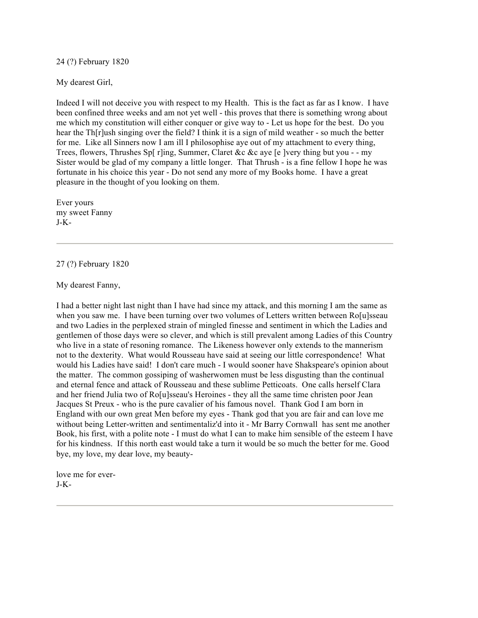24 (?) February 1820

My dearest Girl,

Indeed I will not deceive you with respect to my Health. This is the fact as far as I know. I have been confined three weeks and am not yet well - this proves that there is something wrong about me which my constitution will either conquer or give way to - Let us hope for the best. Do you hear the Th[r]ush singing over the field? I think it is a sign of mild weather - so much the better for me. Like all Sinners now I am ill I philosophise aye out of my attachment to every thing, Trees, flowers, Thrushes Sp[ r]ing, Summer, Claret &c &c aye [e ]very thing but you - - my Sister would be glad of my company a little longer. That Thrush - is a fine fellow I hope he was fortunate in his choice this year - Do not send any more of my Books home. I have a great pleasure in the thought of you looking on them.

Ever yours my sweet Fanny J-K-

## 27 (?) February 1820

My dearest Fanny,

I had a better night last night than I have had since my attack, and this morning I am the same as when you saw me. I have been turning over two volumes of Letters written between Ro[u]sseau and two Ladies in the perplexed strain of mingled finesse and sentiment in which the Ladies and gentlemen of those days were so clever, and which is still prevalent among Ladies of this Country who live in a state of resoning romance. The Likeness however only extends to the mannerism not to the dexterity. What would Rousseau have said at seeing our little correspondence! What would his Ladies have said! I don't care much - I would sooner have Shakspeare's opinion about the matter. The common gossiping of washerwomen must be less disgusting than the continual and eternal fence and attack of Rousseau and these sublime Petticoats. One calls herself Clara and her friend Julia two of Ro[u]sseau's Heroines - they all the same time christen poor Jean Jacques St Preux - who is the pure cavalier of his famous novel. Thank God I am born in England with our own great Men before my eyes - Thank god that you are fair and can love me without being Letter-written and sentimentaliz'd into it - Mr Barry Cornwall has sent me another Book, his first, with a polite note - I must do what I can to make him sensible of the esteem I have for his kindness. If this north east would take a turn it would be so much the better for me. Good bye, my love, my dear love, my beauty-

love me for ever-J-K-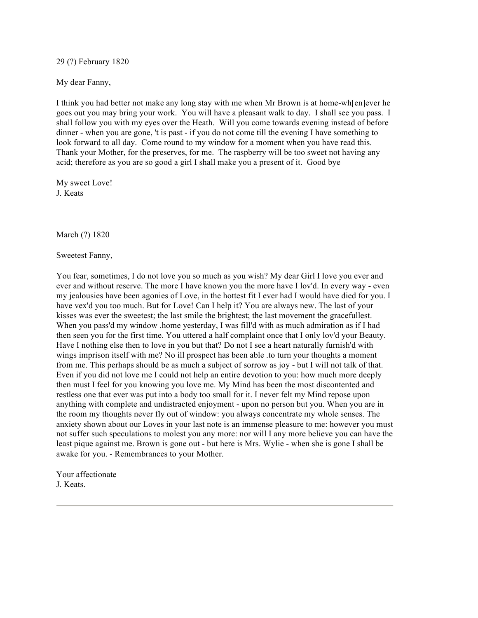29 (?) February 1820

My dear Fanny,

I think you had better not make any long stay with me when Mr Brown is at home-wh[en]ever he goes out you may bring your work. You will have a pleasant walk to day. I shall see you pass. I shall follow you with my eyes over the Heath. Will you come towards evening instead of before dinner - when you are gone, 't is past - if you do not come till the evening I have something to look forward to all day. Come round to my window for a moment when you have read this. Thank your Mother, for the preserves, for me. The raspberry will be too sweet not having any acid; therefore as you are so good a girl I shall make you a present of it. Good bye

My sweet Love! J. Keats

March (?) 1820

Sweetest Fanny,

You fear, sometimes, I do not love you so much as you wish? My dear Girl I love you ever and ever and without reserve. The more I have known you the more have I lov'd. In every way - even my jealousies have been agonies of Love, in the hottest fit I ever had I would have died for you. I have vex'd you too much. But for Love! Can I help it? You are always new. The last of your kisses was ever the sweetest; the last smile the brightest; the last movement the gracefullest. When you pass'd my window .home yesterday, I was fill'd with as much admiration as if I had then seen you for the first time. You uttered a half complaint once that I only lov'd your Beauty. Have I nothing else then to love in you but that? Do not I see a heart naturally furnish'd with wings imprison itself with me? No ill prospect has been able .to turn your thoughts a moment from me. This perhaps should be as much a subject of sorrow as joy - but I will not talk of that. Even if you did not love me I could not help an entire devotion to you: how much more deeply then must I feel for you knowing you love me. My Mind has been the most discontented and restless one that ever was put into a body too small for it. I never felt my Mind repose upon anything with complete and undistracted enjoyment - upon no person but you. When you are in the room my thoughts never fly out of window: you always concentrate my whole senses. The anxiety shown about our Loves in your last note is an immense pleasure to me: however you must not suffer such speculations to molest you any more: nor will I any more believe you can have the least pique against me. Brown is gone out - but here is Mrs. Wylie - when she is gone I shall be awake for you. - Remembrances to your Mother.

Your affectionate J. Keats.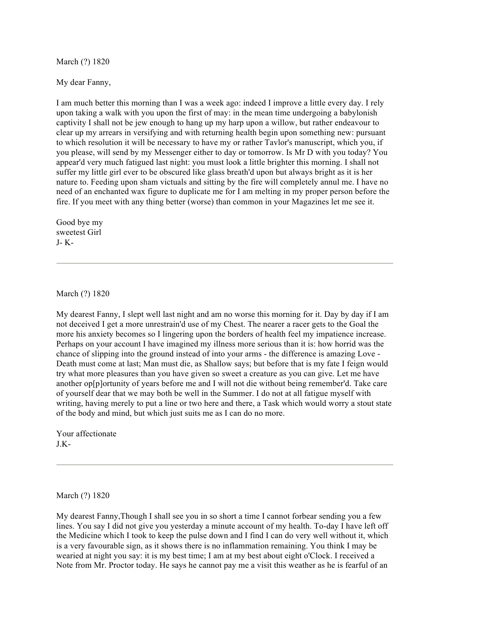March (?) 1820

My dear Fanny,

I am much better this morning than I was a week ago: indeed I improve a little every day. I rely upon taking a walk with you upon the first of may: in the mean time undergoing a babylonish captivity I shall not be jew enough to hang up my harp upon a willow, but rather endeavour to clear up my arrears in versifying and with returning health begin upon something new: pursuant to which resolution it will be necessary to have my or rather Tavlor's manuscript, which you, if you please, will send by my Messenger either to day or tomorrow. Is Mr D with you today? You appear'd very much fatigued last night: you must look a little brighter this morning. I shall not suffer my little girl ever to be obscured like glass breath'd upon but always bright as it is her nature to. Feeding upon sham victuals and sitting by the fire will completely annul me. I have no need of an enchanted wax figure to duplicate me for I am melting in my proper person before the fire. If you meet with any thing better (worse) than common in your Magazines let me see it.

Good bye my sweetest Girl J- K-

March (?) 1820

My dearest Fanny, I slept well last night and am no worse this morning for it. Day by day if I am not deceived I get a more unrestrain'd use of my Chest. The nearer a racer gets to the Goal the more his anxiety becomes so I lingering upon the borders of health feel my impatience increase. Perhaps on your account I have imagined my illness more serious than it is: how horrid was the chance of slipping into the ground instead of into your arms - the difference is amazing Love - Death must come at last; Man must die, as Shallow says; but before that is my fate I feign would try what more pleasures than you have given so sweet a creature as you can give. Let me have another op[p]ortunity of years before me and I will not die without being remember'd. Take care of yourself dear that we may both be well in the Summer. I do not at all fatigue myself with writing, having merely to put a line or two here and there, a Task which would worry a stout state of the body and mind, but which just suits me as I can do no more.

Your affectionate  $IK-$ 

March (?) 1820

My dearest Fanny,Though I shall see you in so short a time I cannot forbear sending you a few lines. You say I did not give you yesterday a minute account of my health. To-day I have left off the Medicine which I took to keep the pulse down and I find I can do very well without it, which is a very favourable sign, as it shows there is no inflammation remaining. You think I may be wearied at night you say: it is my best time; I am at my best about eight o'Clock. I received a Note from Mr. Proctor today. He says he cannot pay me a visit this weather as he is fearful of an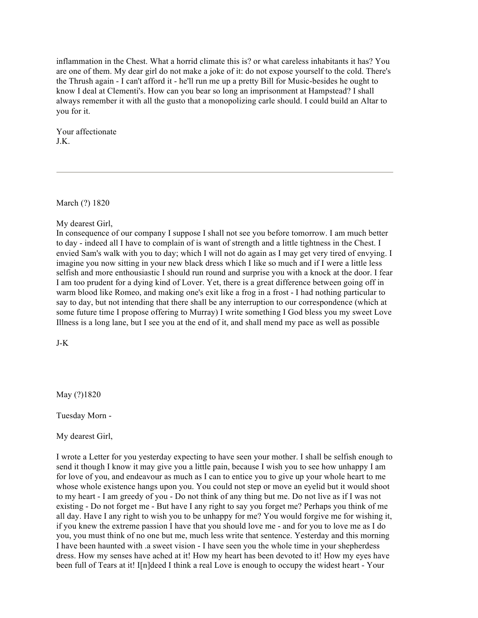inflammation in the Chest. What a horrid climate this is? or what careless inhabitants it has? You are one of them. My dear girl do not make a joke of it: do not expose yourself to the cold. There's the Thrush again - I can't afford it - he'll run me up a pretty Bill for Music-besides he ought to know I deal at Clementi's. How can you bear so long an imprisonment at Hampstead? I shall always remember it with all the gusto that a monopolizing carle should. I could build an Altar to you for it.

Your affectionate J.K.

March (?) 1820

My dearest Girl,

In consequence of our company I suppose I shall not see you before tomorrow. I am much better to day - indeed all I have to complain of is want of strength and a little tightness in the Chest. I envied Sam's walk with you to day; which I will not do again as I may get very tired of envying. I imagine you now sitting in your new black dress which I like so much and if I were a little less selfish and more enthousiastic I should run round and surprise you with a knock at the door. I fear I am too prudent for a dying kind of Lover. Yet, there is a great difference between going off in warm blood like Romeo, and making one's exit like a frog in a frost - I had nothing particular to say to day, but not intending that there shall be any interruption to our correspondence (which at some future time I propose offering to Murray) I write something I God bless you my sweet Love Illness is a long lane, but I see you at the end of it, and shall mend my pace as well as possible

J-K

May (?)1820

Tuesday Morn -

My dearest Girl,

I wrote a Letter for you yesterday expecting to have seen your mother. I shall be selfish enough to send it though I know it may give you a little pain, because I wish you to see how unhappy I am for love of you, and endeavour as much as I can to entice you to give up your whole heart to me whose whole existence hangs upon you. You could not step or move an eyelid but it would shoot to my heart - I am greedy of you - Do not think of any thing but me. Do not live as if I was not existing - Do not forget me - But have I any right to say you forget me? Perhaps you think of me all day. Have I any right to wish you to be unhappy for me? You would forgive me for wishing it, if you knew the extreme passion I have that you should love me - and for you to love me as I do you, you must think of no one but me, much less write that sentence. Yesterday and this morning I have been haunted with .a sweet vision - I have seen you the whole time in your shepherdess dress. How my senses have ached at it! How my heart has been devoted to it! How my eyes have been full of Tears at it! I[n]deed I think a real Love is enough to occupy the widest heart - Your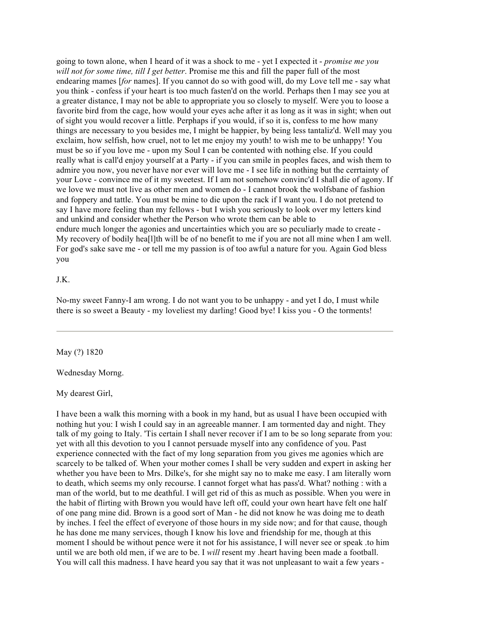going to town alone, when I heard of it was a shock to me - yet I expected it - *promise me you will not for some time, till I get better*. Promise me this and fill the paper full of the most endearing mames [*for* names]. If you cannot do so with good will, do my Love tell me - say what you think - confess if your heart is too much fasten'd on the world. Perhaps then I may see you at a greater distance, I may not be able to appropriate you so closely to myself. Were you to loose a favorite bird from the cage, how would your eyes ache after it as long as it was in sight; when out of sight you would recover a little. Perphaps if you would, if so it is, confess to me how many things are necessary to you besides me, I might be happier, by being less tantaliz'd. Well may you exclaim, how selfish, how cruel, not to let me enjoy my youth! to wish me to be unhappy! You must be so if you love me - upon my Soul I can be contented with nothing else. If you could really what is call'd enjoy yourself at a Party - if you can smile in peoples faces, and wish them to admire you now, you never have nor ever will love me - I see life in nothing but the cerrtainty of your Love - convince me of it my sweetest. If I am not somehow convinc'd I shall die of agony. If we love we must not live as other men and women do - I cannot brook the wolfsbane of fashion and foppery and tattle. You must be mine to die upon the rack if I want you. I do not pretend to say I have more feeling than my fellows - but I wish you seriously to look over my letters kind and unkind and consider whether the Person who wrote them can be able to endure much longer the agonies and uncertainties which you are so peculiarly made to create - My recovery of bodily hea[l]th will be of no benefit to me if you are not all mine when I am well. For god's sake save me - or tell me my passion is of too awful a nature for you. Again God bless you

#### J.K.

No-my sweet Fanny-I am wrong. I do not want you to be unhappy - and yet I do, I must while there is so sweet a Beauty - my loveliest my darling! Good bye! I kiss you - O the torments!

## May (?) 1820

#### Wednesday Morng.

#### My dearest Girl,

I have been a walk this morning with a book in my hand, but as usual I have been occupied with nothing hut you: I wish I could say in an agreeable manner. I am tormented day and night. They talk of my going to Italy. 'Tis certain I shall never recover if I am to be so long separate from you: yet with all this devotion to you I cannot persuade myself into any confidence of you. Past experience connected with the fact of my long separation from you gives me agonies which are scarcely to be talked of. When your mother comes I shall be very sudden and expert in asking her whether you have been to Mrs. Dilke's, for she might say no to make me easy. I am literally worn to death, which seems my only recourse. I cannot forget what has pass'd. What? nothing : with a man of the world, but to me deathful. I will get rid of this as much as possible. When you were in the habit of flirting with Brown you would have left off, could your own heart have felt one half of one pang mine did. Brown is a good sort of Man - he did not know he was doing me to death by inches. I feel the effect of everyone of those hours in my side now; and for that cause, though he has done me many services, though I know his love and friendship for me, though at this moment I should be without pence were it not for his assistance, I will never see or speak .to him until we are both old men, if we are to be. I *will* resent my .heart having been made a football. You will call this madness. I have heard you say that it was not unpleasant to wait a few years -